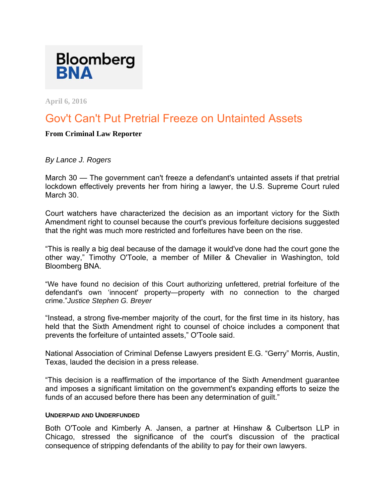

**April 6, 2016** 

# Gov't Can't Put Pretrial Freeze on Untainted Assets

## **From Criminal Law Reporter**

# *By Lance J. Rogers*

March 30 — The government can't freeze a defendant's untainted assets if that pretrial lockdown effectively prevents her from hiring a lawyer, the U.S. Supreme Court ruled March 30.

Court watchers have characterized the decision as an important victory for the Sixth Amendment right to counsel because the court's previous forfeiture decisions suggested that the right was much more restricted and forfeitures have been on the rise.

"This is really a big deal because of the damage it would've done had the court gone the other way," Timothy O'Toole, a member of Miller & Chevalier in Washington, told Bloomberg BNA.

"We have found no decision of this Court authorizing unfettered, pretrial forfeiture of the defendant's own 'innocent' property—property with no connection to the charged crime."*Justice Stephen G. Breyer* 

"Instead, a strong five-member majority of the court, for the first time in its history, has held that the Sixth Amendment right to counsel of choice includes a component that prevents the forfeiture of untainted assets," O'Toole said.

National Association of Criminal Defense Lawyers president E.G. "Gerry" Morris, Austin, Texas, lauded the decision in a press release.

"This decision is a reaffirmation of the importance of the Sixth Amendment guarantee and imposes a significant limitation on the government's expanding efforts to seize the funds of an accused before there has been any determination of guilt."

#### **UNDERPAID AND UNDERFUNDED**

Both O'Toole and Kimberly A. Jansen, a partner at Hinshaw & Culbertson LLP in Chicago, stressed the significance of the court's discussion of the practical consequence of stripping defendants of the ability to pay for their own lawyers.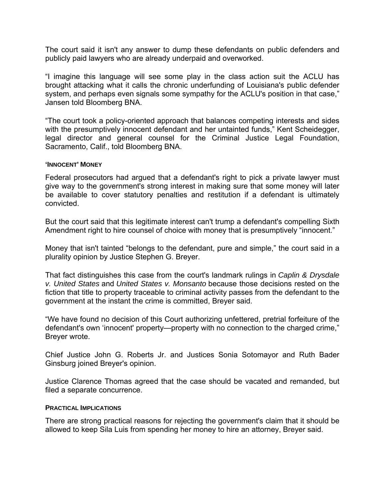The court said it isn't any answer to dump these defendants on public defenders and publicly paid lawyers who are already underpaid and overworked.

"I imagine this language will see some play in the class action suit the ACLU has brought attacking what it calls the chronic underfunding of Louisiana's public defender system, and perhaps even signals some sympathy for the ACLU's position in that case," Jansen told Bloomberg BNA.

"The court took a policy-oriented approach that balances competing interests and sides with the presumptively innocent defendant and her untainted funds," Kent Scheidegger, legal director and general counsel for the Criminal Justice Legal Foundation, Sacramento, Calif., told Bloomberg BNA.

#### **'INNOCENT' MONEY**

Federal prosecutors had argued that a defendant's right to pick a private lawyer must give way to the government's strong interest in making sure that some money will later be available to cover statutory penalties and restitution if a defendant is ultimately convicted.

But the court said that this legitimate interest can't trump a defendant's compelling Sixth Amendment right to hire counsel of choice with money that is presumptively "innocent."

Money that isn't tainted "belongs to the defendant, pure and simple," the court said in a plurality opinion by Justice Stephen G. Breyer.

That fact distinguishes this case from the court's landmark rulings in *Caplin & Drysdale v. United States* and *United States v. Monsanto* because those decisions rested on the fiction that title to property traceable to criminal activity passes from the defendant to the government at the instant the crime is committed, Breyer said.

"We have found no decision of this Court authorizing unfettered, pretrial forfeiture of the defendant's own 'innocent' property—property with no connection to the charged crime," Breyer wrote.

Chief Justice John G. Roberts Jr. and Justices Sonia Sotomayor and Ruth Bader Ginsburg joined Breyer's opinion.

Justice Clarence Thomas agreed that the case should be vacated and remanded, but filed a separate concurrence.

#### **PRACTICAL IMPLICATIONS**

There are strong practical reasons for rejecting the government's claim that it should be allowed to keep Sila Luis from spending her money to hire an attorney, Breyer said.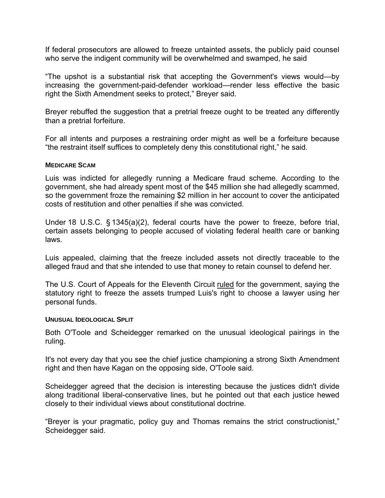If federal prosecutors are allowed to freeze untainted assets, the publicly paid counsel who serve the indigent community will be overwhelmed and swamped, he said

"The upshot is a substantial risk that accepting the Government's views would—by increasing the government-paid-defender workload—render less effective the basic right the Sixth Amendment seeks to protect," Breyer said.

Breyer rebuffed the suggestion that a pretrial freeze ought to be treated any differently than a pretrial forfeiture.

For all intents and purposes a restraining order might as well be a forfeiture because "the restraint itself suffices to completely deny this constitutional right," he said.

#### **MEDICARE SCAM**

Luis was indicted for allegedly running a Medicare fraud scheme. According to the government, she had already spent most of the \$45 million she had allegedly scammed, so the government froze the remaining \$2 million in her account to cover the anticipated costs of restitution and other penalties if she was convicted.

Under 18 U.S.C. § 1345(a)(2), federal courts have the power to freeze, before trial, certain assets belonging to people accused of violating federal health care or banking laws.

Luis appealed, claiming that the freeze included assets not directly traceable to the alleged fraud and that she intended to use that money to retain counsel to defend her.

The U.S. Court of Appeals for the Eleventh Circuit ruled for the government, saying the statutory right to freeze the assets trumped Luis's right to choose a lawyer using her personal funds.

#### **UNUSUAL IDEOLOGICAL SPLIT**

Both O'Toole and Scheidegger remarked on the unusual ideological pairings in the ruling.

It's not every day that you see the chief justice championing a strong Sixth Amendment right and then have Kagan on the opposing side, O'Toole said.

Scheidegger agreed that the decision is interesting because the justices didn't divide along traditional liberal-conservative lines, but he pointed out that each justice hewed closely to their individual views about constitutional doctrine.

"Breyer is your pragmatic, policy guy and Thomas remains the strict constructionist," Scheidegger said.